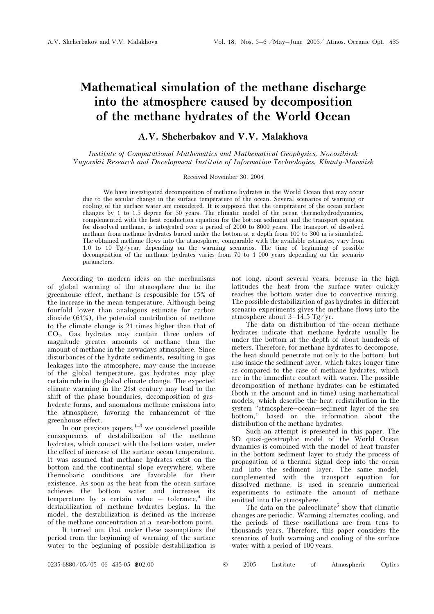# Mathematical simulation of the methane discharge into the atmosphere caused by decomposition of the methane hydrates of the World Ocean

## A.V. Shcherbakov and V.V. Malakhova

Institute of Computational Mathematics and Mathematical Geophysics, Novosibirsk Yugorskii Research and Development Institute of Information Technologies, Khanty-Mansiisk

### Received November 30, 2004

We have investigated decomposition of methane hydrates in the World Ocean that may occur due to the secular change in the surface temperature of the ocean. Several scenarios of warming or cooling of the surface water are considered. It is supposed that the temperature of the ocean surface changes by 1 to 1.5 degree for 50 years. The climatic model of the ocean thermohydrodynamics, complemented with the heat conduction equation for the bottom sediment and the transport equation for dissolved methane, is integrated over a period of 2000 to 8000 years. The transport of dissolved methane from methane hydrates buried under the bottom at a depth from 100 to 300 m is simulated. The obtained methane flows into the atmosphere, comparable with the available estimates, vary from 1.0 to 10 Tg/year, depending on the warming scenarios. The time of beginning of possible decomposition of the methane hydrates varies from 70 to 1 000 years depending on the scenario parameters.

According to modern ideas on the mechanisms of global warming of the atmosphere due to the greenhouse effect, methane is responsible for 15% of the increase in the mean temperature. Although being fourfold lower than analogous estimate for carbon dioxide (61%), the potential contribution of methane to the climate change is 21 times higher than that of CO<sub>2</sub>. Gas hydrates may contain three orders of magnitude greater amounts of methane than the amount of methane in the nowadays atmosphere. Since disturbances of the hydrate sediments, resulting in gas leakages into the atmosphere, may cause the increase of the global temperature, gas hydrates may play certain role in the global climate change. The expected climate warming in the 21st century may lead to the shift of the phase boundaries, decomposition of gashydrate forms, and anomalous methane emissions into the atmosphere, favoring the enhancement of the greenhouse effect.

In our previous papers,  $1-3$  we considered possible consequences of destabilization of the methane hydrates, which contact with the bottom water, under the effect of increase of the surface ocean temperature. It was assumed that methane hydrates exist on the bottom and the continental slope everywhere, where thermobaric conditions are favorable for their existence. As soon as the heat from the ocean surface achieves the bottom water and increases its  $temperature$  by a certain value  $-$  tolerance,<sup>4</sup> the destabilization of methane hydrates begins. In the model, the destabilization is defined as the increase of the methane concentration at a near-bottom point.

It turned out that under these assumptions the period from the beginning of warming of the surface water to the beginning of possible destabilization is not long, about several years, because in the high latitudes the heat from the surface water quickly reaches the bottom water due to convective mixing. The possible destabilization of gas hydrates in different scenario experiments gives the methane flows into the atmosphere about  $3-14.5$  Tg/yr.

The data on distribution of the ocean methane hydrates indicate that methane hydrate usually lie under the bottom at the depth of about hundreds of meters. Therefore, for methane hydrates to decompose, the heat should penetrate not only to the bottom, but also inside the sediment layer, which takes longer time as compared to the case of methane hydrates, which are in the immediate contact with water. The possible decomposition of methane hydrates can be estimated (both in the amount and in time) using mathematical models, which describe the heat redistribution in the system "atmosphere–ocean–sediment layer of the sea bottom," based on the information about the distribution of the methane hydrates.

Such an attempt is presented in this paper. The 3D quasi-geostrophic model of the World Ocean dynamics is combined with the model of heat transfer in the bottom sediment layer to study the process of propagation of a thermal signal deep into the ocean and into the sediment layer. The same model, complemented with the transport equation for dissolved methane, is used in scenario numerical experiments to estimate the amount of methane emitted into the atmosphere.

The data on the paleoclimate<sup>5</sup> show that climatic changes are periodic. Warming alternates cooling, and the periods of these oscillations are from tens to thousands years. Therefore, this paper considers the scenarios of both warming and cooling of the surface water with a period of 100 years.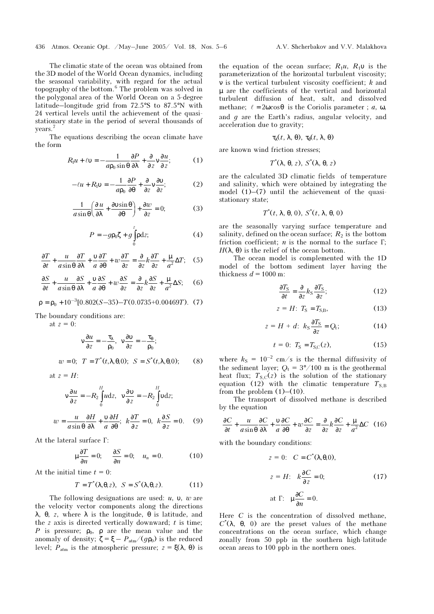The climatic state of the ocean was obtained from the 3D model of the World Ocean dynamics, including the seasonal variability, with regard for the actual<br>topography of the bottom.<sup>6</sup> The problem was solved in the polygonal area of the World Ocean on a 5-degree latitude–longitude grid from 72.5°S to 87.5°N with 24 vertical levels until the achievement of the quasistationary state in the period of several thousands of years.<sup>7</sup>

The equations describing the ocean climate have the form

$$
R_1 u + \ell v = -\frac{1}{a p_0 \sin \theta} \frac{\partial P}{\partial \lambda} + \frac{\partial}{\partial z} v \frac{\partial u}{\partial z};
$$
 (1)

$$
-\ell u + R_1 v = -\frac{1}{a p_0} \frac{\partial P}{\partial \theta} + \frac{\partial}{\partial z} v \frac{\partial v}{\partial z};
$$
 (2)

$$
\frac{1}{a\sin\theta} \left(\frac{\partial u}{\partial \lambda} + \frac{\partial v\sin\theta}{\partial \theta}\right) + \frac{\partial w}{\partial z} = 0;\tag{3}
$$

$$
P = -g\rho_0 \zeta + g \int_0^z \rho dz; \qquad (4)
$$

$$
\frac{\partial T}{\partial t} + \frac{u}{a\sin\theta} \frac{\partial T}{\partial \lambda} + \frac{v}{a} \frac{\partial T}{\partial \theta} + w \frac{\partial T}{\partial z} = \frac{\partial}{\partial z} k \frac{\partial T}{\partial z} + \frac{\mu}{a^2} \Delta T; \quad (5)
$$

$$
\frac{\partial S}{\partial t} + \frac{u}{a\sin\theta} \frac{\partial S}{\partial \lambda} + \frac{v}{a} \frac{\partial S}{\partial \theta} + w \frac{\partial S}{\partial z} = \frac{\partial}{\partial z} k \frac{\partial S}{\partial z} + \frac{\mu}{a^2} \Delta S; \quad (6)
$$

$$
\rho = \rho_0 + 10^{-3} [0.802(S - 35) - T(0.0735 + 0.00469T). (7)
$$

The boundary conditions are:

at 
$$
z = 0
$$
:  
\n
$$
v \frac{\partial u}{\partial z} = -\frac{\tau_{\lambda}}{\rho_0}, \quad v \frac{\partial v}{\partial z} = -\frac{\tau_{\theta}}{\rho_0};
$$
\n
$$
w = 0; \quad T = T^*(t, \lambda, \theta, 0); \quad S = S^*(t, \lambda, \theta, 0); \tag{8}
$$
\nat  $z = H$ :

$$
v\frac{\partial u}{\partial z} = -R_2 \int_0^H u dz, \quad v\frac{\partial v}{\partial z} = -R_2 \int_0^H v dz;
$$

$$
w = \frac{u}{a\sin\theta} \frac{\partial H}{\partial \lambda} + \frac{v}{a} \frac{\partial H}{\partial \theta}; \quad k\frac{\partial T}{\partial z} = 0, \quad k\frac{\partial S}{\partial z} = 0. \quad (9)
$$

At the lateral surface  $\Gamma$ :

$$
\mu \frac{\partial T}{\partial n} = 0; \quad \frac{\partial S}{\partial n} = 0; \quad u_n = 0. \tag{10}
$$

At the initial time  $t = 0$ :

$$
T = T^*(\lambda, \theta, z), \quad S = S^*(\lambda, \theta, z). \tag{11}
$$

The following designations are used:  $u$ ,  $v$ ,  $w$  are the velocity vector components along the directions λ, θ, z, where λ is the longitude, θ is latitude, and the  $z$  axis is directed vertically downward;  $t$  is time; P is pressure;  $\rho_0$ ,  $\rho$  are the mean value and the anomaly of density;  $\zeta = \xi - P_{\text{atm}}/(g\rho_0)$  is the reduced level;  $P_{\text{atm}}$  is the atmospheric pressure;  $z = \xi(\lambda, \theta)$  is the equation of the ocean surface;  $R_1u$ ,  $R_1v$  is the parameterization of the horizontal turbulent viscosity; ν is the vertical turbulent viscosity coefficient; k and µ are the coefficients of the vertical and horizontal turbulent diffusion of heat, salt, and dissolved methane;  $\ell = 2\omega \cos \theta$  is the Coriolis parameter;  $a, \omega$ , and  $q$  are the Earth's radius, angular velocity, and acceleration due to gravity;

$$
\tau_{\lambda}(t, \lambda, \theta), \tau_{\theta}(t, \lambda, \theta)
$$

are known wind friction stresses;

$$
T^*(\lambda, \theta, z), S^*(\lambda, \theta, z)
$$

are the calculated 3D climatic fields of temperature and salinity, which were obtained by integrating the model  $(1)$ – $(7)$  until the achievement of the quasistationary state;

$$
T^*(t, \lambda, \theta, 0), S^*(t, \lambda, \theta, 0)
$$

are the seasonally varying surface temperature and salinity, defined on the ocean surface;  $R_2$  is the bottom friction coefficient; *n* is the normal to the surface  $\Gamma$ ;  $H(λ, θ)$  is the relief of the ocean bottom.

The ocean model is complemented with the 1D model of the bottom sediment layer having the thickness  $d = 1000$  m:

$$
\frac{\partial T_{\rm S}}{\partial t} = \frac{\partial}{\partial z} k_{\rm S} \frac{\partial T_{\rm S}}{\partial z};\tag{12}
$$

$$
z = H: T_{\rm S} = T_{\rm S,B}, \tag{13}
$$

$$
z = H + d: \ k_{\rm S} \frac{\partial T_{\rm S}}{\partial z} = Q_{\rm t}; \tag{14}
$$

$$
t = 0: T_{\rm S} = T_{\rm S,C}(z),\tag{15}
$$

where  $k<sub>S</sub> = 10<sup>-2</sup>$  cm/s is the thermal diffusivity of the sediment layer;  $Q_t = 3^{\circ}/100$  m is the geothermal heat flux;  $T_{S,C}(z)$  is the solution of the stationary equation (12) with the climatic temperature  $T_{SB}$ from the problem  $(1)$ – $(10)$ .

The transport of dissolved methane is described by the equation

$$
\frac{\partial C}{\partial t} + \frac{u}{a\sin\theta} \frac{\partial C}{\partial \lambda} + \frac{v}{a} \frac{\partial C}{\partial \theta} + w \frac{\partial C}{\partial z} = \frac{\partial}{\partial z} k \frac{\partial C}{\partial z} + \frac{\mu}{a^2} \Delta C \quad (16)
$$

with the boundary conditions:

$$
z = 0: C = C^*(\lambda, \theta, 0),
$$
  
\n
$$
z = H: k \frac{\partial C}{\partial z} = 0;
$$
 (17)  
\nat  $\Gamma: \mu \frac{\partial C}{\partial n} = 0.$ 

Here  $C$  is the concentration of dissolved methane,  $C<sup>*</sup>(λ, θ, 0)$  are the preset values of the methane concentrations on the ocean surface, which change zonally from 50 ppb in the southern high-latitude ocean areas to 100 ppb in the northern ones.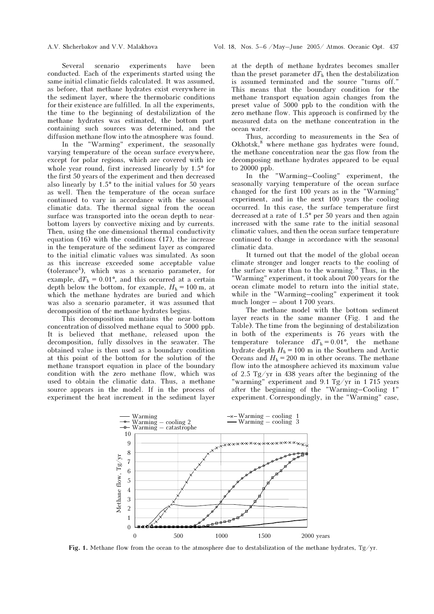Several scenario experiments have been conducted. Each of the experiments started using the same initial climatic fields calculated. It was assumed, as before, that methane hydrates exist everywhere in the sediment layer, where the thermobaric conditions for their existence are fulfilled. In all the experiments, the time to the beginning of destabilization of the methane hydrates was estimated, the bottom part containing such sources was determined, and the diffusion methane flow into the atmosphere was found.

In the "Warming" experiment, the seasonally varying temperature of the ocean surface everywhere, except for polar regions, which are covered with ice whole year round, first increased linearly by 1.5° for the first 50 years of the experiment and then decreased also linearly by 1.5° to the initial values for 50 years as well. Then the temperature of the ocean surface continued to vary in accordance with the seasonal climatic data. The thermal signal from the ocean surface was transported into the ocean depth to nearbottom layers by convective mixing and by currents. Then, using the one-dimensional thermal conductivity equation (16) with the conditions (17), the increase in the temperature of the sediment layer as compared to the initial climatic values was simulated. As soon as this increase exceeded some acceptable value (tolerance<sup>4</sup>), which was a scenario parameter, for example,  $dT_h = 0.01^{\circ}$ , and this occurred at a certain depth below the bottom, for example,  $H<sub>h</sub> = 100$  m, at which the methane hydrates are buried and which was also a scenario parameter, it was assumed that decomposition of the methane hydrates begins.

This decomposition maintains the near-bottom concentration of dissolved methane equal to 5000 ppb. It is believed that methane, released upon the decomposition, fully dissolves in the seawater. The obtained value is then used as a boundary condition at this point of the bottom for the solution of the methane transport equation in place of the boundary condition with the zero methane flow, which was used to obtain the climatic data. Thus, a methane source appears in the model. If in the process of experiment the heat increment in the sediment layer

at the depth of methane hydrates becomes smaller than the preset parameter  $dT<sub>h</sub>$  then the destabilization is assumed terminated and the source "turns off." This means that the boundary condition for the methane transport equation again changes from the preset value of 5000 ppb to the condition with the zero methane flow. This approach is confirmed by the measured data on the methane concentration in the ocean water.

Thus, according to measurements in the Sea of Okhotsk,<sup>8</sup> where methane gas hydrates were found, the methane concentration near the gas flow from the decomposing methane hydrates appeared to be equal to 20000 ppb.

In the "Warming–Cooling" experiment, the seasonally varying temperature of the ocean surface changed for the first 100 years as in the "Warming" experiment, and in the next 100 years the cooling occurred. In this case, the surface temperature first decreased at a rate of 1.5° per 50 years and then again increased with the same rate to the initial seasonal climatic values, and then the ocean surface temperature continued to change in accordance with the seasonal climatic data.

It turned out that the model of the global ocean climate stronger and longer reacts to the cooling of the surface water than to the warming. <sup>9</sup> Thus, in the "Warming" experiment, it took about 700 years for the ocean climate model to return into the initial state, while in the "Warming–cooling" experiment it took much longer – about 1 700 years.

The methane model with the bottom sediment layer reacts in the same manner (Fig. 1 and the Table). The time from the beginning of destabilization in both of the experiments is 76 years with the temperature tolerance  $dT_h = 0.01^{\circ}$ , the methane hydrate depth  $H<sub>h</sub> = 100$  m in the Southern and Arctic Oceans and  $H<sub>h</sub> = 200$  m in other oceans. The methane flow into the atmosphere achieved its maximum value of 2.5 Tg/yr in 438 years after the beginning of the "warming" experiment and 9.1 Tg/yr in 1 715 years after the beginning of the "Warming–Cooling 1" experiment. Correspondingly, in the "Warming" case,



Fig. 1. Methane flow from the ocean to the atmosphere due to destabilization of the methane hydrates, Tg/yr.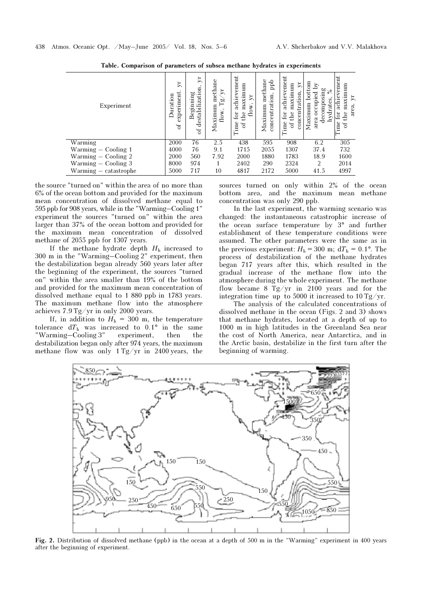| Experiment            | Þ.<br>$ex$ periment<br>Duration<br>$\tilde{a}$ | $\mathbf{y}$ r<br>destabilization<br>Beginning<br>$\sigma$ | methane<br>≿<br>Ρŵ<br>Maximum<br>flow, | achievement<br>maximum<br>$\Sigma$<br>flow<br>the<br>for<br>Time<br>$\sigma$ | ppb<br>methan<br>concentration<br>Maximum | achievement<br>$\mathcal{L}$<br>maxımum<br>concentration,<br>for<br>the<br>Time<br>ď | bottom<br>R<br>decomposing<br>۰o<br>occupied<br>o<br>hydrates<br>Maximum<br>area | veme<br>maxımum<br>achie <sup>®</sup><br>$\mu$<br>area.<br>ä<br>the<br>Ξ<br>ð |
|-----------------------|------------------------------------------------|------------------------------------------------------------|----------------------------------------|------------------------------------------------------------------------------|-------------------------------------------|--------------------------------------------------------------------------------------|----------------------------------------------------------------------------------|-------------------------------------------------------------------------------|
| Warming               | 2000                                           | 76                                                         | 2.5                                    | 438                                                                          | 595                                       | 908                                                                                  | 6.2                                                                              | 305                                                                           |
| Warming - Cooling 1   | 4000                                           | 76                                                         | 9.1                                    | 1715                                                                         | 2055                                      | 1307                                                                                 | 37.4                                                                             | 732                                                                           |
| Warming - Cooling 2   | 2000                                           | 560                                                        | 7.92                                   | 2000                                                                         | 1880                                      | 1783                                                                                 | 18.9                                                                             | 1600                                                                          |
| $Warning - Cooling 3$ | 8000                                           | 974                                                        |                                        | 2402                                                                         | 290                                       | 2324                                                                                 | 2                                                                                | 2014                                                                          |
| Warming - catastrophe | 5000                                           | 717                                                        | 10                                     | 4817                                                                         | 2172                                      | 5000                                                                                 | 41.5                                                                             | 4997                                                                          |

Table. Comparison of parameters of subsea methane hydrates in experiments

the source "turned on" within the area of no more than 6% of the ocean bottom and provided for the maximum mean concentration of dissolved methane equal to 595 ppb for 908 years, while in the "Warming–Cooling 1" experiment the sources "turned on" within the area larger than 37% of the ocean bottom and provided for the maximum mean concentration of dissolved methane of 2055 ppb for 1307 years.

If the methane hydrate depth  $H<sub>h</sub>$  increased to 300 m in the "Warming–Cooling 2" experiment, then the destabilization began already 560 years later after the beginning of the experiment, the sources "turned on" within the area smaller than 19% of the bottom and provided for the maximum mean concentration of dissolved methane equal to 1 880 ppb in 1783 years. The maximum methane flow into the atmosphere achieves 7.9 Tg/yr in only 2000 years.

If, in addition to  $H<sub>h</sub> = 300$  m, the temperature tolerance  $dT<sub>h</sub>$  was increased to 0.1° in the same "Warming–Cooling 3" experiment, then the destabilization began only after 974 years, the maximum methane flow was only 1 Tg/yr in 2400 years, the sources turned on only within 2% of the ocean bottom area, and the maximum mean methane concentration was only 290 ppb.

In the last experiment, the warming scenario was changed: the instantaneous catastrophic increase of the ocean surface temperature by 3° and further establishment of these temperature conditions were assumed. The other parameters were the same as in the previous experiment:  $H<sub>h</sub> = 300$  m;  $dT<sub>h</sub> = 0.1$ °. The process of destabilization of the methane hydrates began 717 years after this, which resulted in the gradual increase of the methane flow into the atmosphere during the whole experiment. The methane flow became 8 Tg/yr in 2100 years and for the integration time up to 5000 it increased to 10 Tg/yr.

The analysis of the calculated concentrations of dissolved methane in the ocean (Figs. 2 and 3) shows that methane hydrates, located at a depth of up to 1000 m in high latitudes in the Greenland Sea near the cost of North America, near Antarctica, and in the Arctic basin, destabilize in the first turn after the beginning of warming.



Fig. 2. Distribution of dissolved methane (ppb) in the ocean at a depth of 500 m in the "Warming" experiment in 400 years after the beginning of experiment.